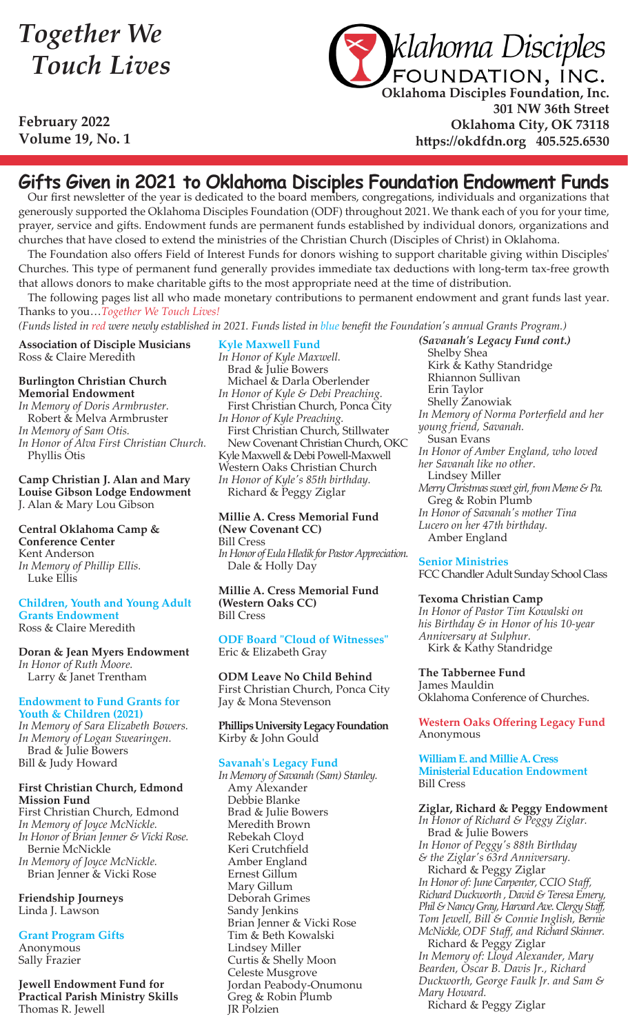## *Together We Touch Lives*

**February 2022 Volume 19, No. 1**



**Oklahoma Disciples Foundation, Inc. 301 NW 36th Street Oklahoma City, OK 73118 https://okdfdn.org 405.525.6530**

### **Gifts Given in 2021 to Oklahoma Disciples Foundation Endowment Funds**

Our first newsletter of the year is dedicated to the board members, congregations, individuals and organizations that generously supported the Oklahoma Disciples Foundation (ODF) throughout 2021. We thank each of you for your time, prayer, service and gifts. Endowment funds are permanent funds established by individual donors, organizations and churches that have closed to extend the ministries of the Christian Church (Disciples of Christ) in Oklahoma.

The Foundation also offers Field of Interest Funds for donors wishing to support charitable giving within Disciples' Churches. This type of permanent fund generally provides immediate tax deductions with long-term tax-free growth that allows donors to make charitable gifts to the most appropriate need at the time of distribution.

The following pages list all who made monetary contributions to permanent endowment and grant funds last year. Thanks to you…*Together We Touch Lives!*

*(Funds listed in red were newly established in 2021. Funds listed in blue benefit the Foundation's annual Grants Program.)* 

**Association of Disciple Musicians** Ross & Claire Meredith

#### **Burlington Christian Church Memorial Endowment**

*In Memory of Doris Armbruster.* Robert & Melva Armbruster *In Memory of Sam Otis. In Honor of Alva First Christian Church.* Phyllis Otis

**Camp Christian J. Alan and Mary Louise Gibson Lodge Endowment** J. Alan & Mary Lou Gibson

**Central Oklahoma Camp & Conference Center** Kent Anderson *In Memory of Phillip Ellis.* Luke Ellis

#### **Children, Youth and Young Adult Grants Endowment** Ross & Claire Meredith

**Doran & Jean Myers Endowment** *In Honor of Ruth Moore.* Larry & Janet Trentham

#### **Endowment to Fund Grants for Youth & Children (2021)**

*In Memory of Sara Elizabeth Bowers. In Memory of Logan Swearingen.* Brad & Julie Bowers Bill & Judy Howard

#### **First Christian Church, Edmond Mission Fund**

First Christian Church, Edmond *In Memory of Joyce McNickle. In Honor of Brian Jenner & Vicki Rose.* Bernie McNickle *In Memory of Joyce McNickle.* Brian Jenner & Vicki Rose

**Friendship Journeys** Linda J. Lawson

**Grant Program Gifts** Anonymous

Sally Frazier

**Jewell Endowment Fund for Practical Parish Ministry Skills** Thomas R. Jewell

**Kyle Maxwell Fund** *In Honor of Kyle Maxwell.* Brad & Julie Bowers Michael & Darla Oberlender *In Honor of Kyle & Debi Preaching.* First Christian Church, Ponca City *In Honor of Kyle Preaching.* First Christian Church, Stillwater New Covenant Christian Church, OKC Kyle Maxwell & Debi Powell-Maxwell Western Oaks Christian Church *In Honor of Kyle's 85th birthday.* Richard & Peggy Ziglar

#### **Millie A. Cress Memorial Fund (New Covenant CC)** Bill Cress

*In Honor of Eula Hledik for Pastor Appreciation.* Dale & Holly Day

**Millie A. Cress Memorial Fund (Western Oaks CC)** Bill Cress

**ODF Board "Cloud of Witnesses"** Eric & Elizabeth Gray

**ODM Leave No Child Behind** First Christian Church, Ponca City Jay & Mona Stevenson

**Phillips University Legacy Foundation** Kirby & John Gould

#### **Savanah's Legacy Fund**

*In Memory of Savanah (Sam) Stanley.* Amy Alexander Debbie Blanke Brad & Julie Bowers Meredith Brown Rebekah Cloyd Keri Crutchfield Amber England Ernest Gillum Mary Gillum Deborah Grimes Sandy Jenkins Brian Jenner & Vicki Rose Tim & Beth Kowalski Lindsey Miller Curtis & Shelly Moon Celeste Musgrove Jordan Peabody-Onumonu Greg & Robin Plumb JR Polzien

*(Savanah's Legacy Fund cont.)*  Shelby Shea Kirk & Kathy Standridge Rhiannon Sullivan Erin Taylor Shelly Zanowiak *In Memory of Norma Porterfield and her young friend, Savanah.* Susan Evans *In Honor of Amber England, who loved her Savanah like no other.* Lindsey Miller *Merry Christmas sweet girl, from Meme & Pa.* Greg & Robin Plumb *In Honor of Savanah's mother Tina Lucero on her 47th birthday.*  Amber England

#### **Senior Ministries**

FCC Chandler Adult Sunday School Class

#### **Texoma Christian Camp**

*In Honor of Pastor Tim Kowalski on his Birthday & in Honor of his 10-year Anniversary at Sulphur.* Kirk & Kathy Standridge

**The Tabbernee Fund** James Mauldin Oklahoma Conference of Churches.

**Western Oaks Offering Legacy Fund** Anonymous

**William E. and Millie A. Cress Ministerial Education Endowment** Bill Cress

#### **Ziglar, Richard & Peggy Endowment**

*In Honor of Richard & Peggy Ziglar.* Brad & Julie Bowers *In Honor of Peggy's 88th Birthday & the Ziglar's 63rd Anniversary.* Richard & Peggy Ziglar *In Honor of: June Carpenter, CCIO Staff, Richard Duckworth , David & Teresa Emery, Phil & Nancy Gray, Harvard Ave. Clergy Staff, Tom Jewell, Bill & Connie Inglish, Bernie McNickle, ODF Staff, and Richard Skinner.* Richard & Peggy Ziglar *In Memory of: Lloyd Alexander, Mary Bearden, Oscar B. Davis Jr., Richard Duckworth, George Faulk Jr. and Sam & Mary Howard.*

Richard & Peggy Ziglar